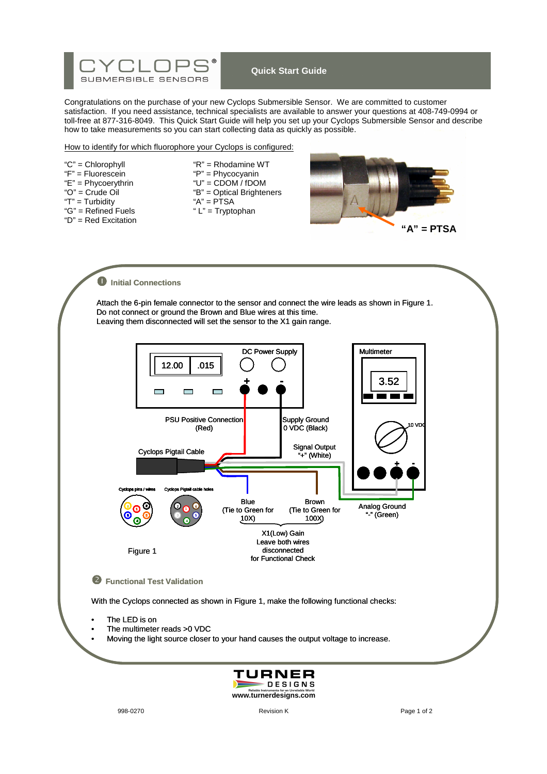

# **Quick Start Guide**

Congratulations on the purchase of your new Cyclops Submersible Sensor. We are committed to customer satisfaction. If you need assistance, technical specialists are available to answer your questions at 408-749-0994 or toll-free at 877-316-8049. This Quick Start Guide will help you set up your Cyclops Submersible Sensor and describe how to take measurements so you can start collecting data as quickly as possible.

#### How to identify for which fluorophore your Cyclops is configured:

- "F" = Fluorescein "P" = Phycocyanin  $"G" = Refined$  Fuels
- "D" = Red Excitation

"C" = Chlorophyll "R" = Rhodamine WT<br>"F" = Fluorescein "P" = Phycocyanin "E" = Phycoerythrin  $"U"$  = CDOM / fDOM<br>"O" = Crude Oil "B" = Optical Brighter "B" = Optical Brighteners<br>"A" = PTSA "T" = Turbidity "A" = PTSA<br>"G" = Refined Fuels "L" = Tryptophan



 $\bullet$  Initial Connections Attach the 6-pin female connector to the sensor and connect the wire leads as shown in Figure 1. Do not connect or ground the Brown and Blue wires at this time. Leaving them disconnected will set the sensor to the X1 gain range. DC Power Supply **Multimeter** 12.00 .015 **+ -** 3.52  $\mathcal{L}_{\mathcal{A}}$  $\overline{\phantom{a}}$  $\mathcal{L}$ PSU Positive Connection Supply Ground 0 VDC (Black) 10 VDC (Red) Signal Output Cyclops Pigtail Cable "+" (White) **+ -** Cyclops pins / wires Cyclops Pigtail cable holes Blue Brown Analog Ground **2** <u>، م</u> 6 2 **2**(Tie to Green for (Tie to Green for **1** 1 "-" (Green) **5** 5 **5** 10X) 100X) 3 **4** 4 X1(Low) Gain Leave both wires disconnected Figure 1 for Functional Check - **Functional Test Validation** With the Cyclops connected as shown in Figure 1, make the following functional checks: The LED is on • The multimeter reads >0 VDC Moving the light source closer to your hand causes the output voltage to increase.